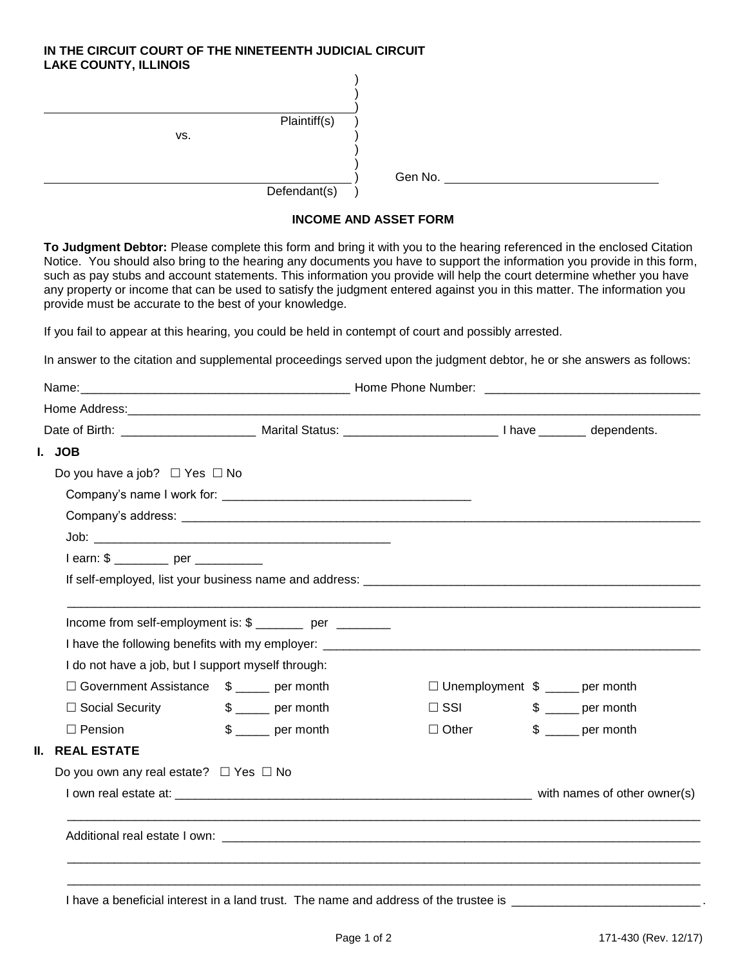## **IN THE CIRCUIT COURT OF THE NINETEENTH JUDICIAL CIRCUIT LAKE COUNTY, ILLINOIS**

| <b>EARL OCONTIT, ILLINOIO</b> |              |         |
|-------------------------------|--------------|---------|
|                               |              |         |
|                               |              |         |
|                               |              |         |
|                               | Plaintiff(s) |         |
| VS.                           |              |         |
|                               |              |         |
|                               |              |         |
|                               |              | Gen No. |
|                               | Defendant(s) |         |

## **INCOME AND ASSET FORM**

**To Judgment Debtor:** Please complete this form and bring it with you to the hearing referenced in the enclosed Citation Notice. You should also bring to the hearing any documents you have to support the information you provide in this form, such as pay stubs and account statements. This information you provide will help the court determine whether you have any property or income that can be used to satisfy the judgment entered against you in this matter. The information you provide must be accurate to the best of your knowledge.

If you fail to appear at this hearing, you could be held in contempt of court and possibly arrested.

In answer to the citation and supplemental proceedings served upon the judgment debtor, he or she answers as follows:

| I. JOB                                                                                                         |                         |              |                                       |
|----------------------------------------------------------------------------------------------------------------|-------------------------|--------------|---------------------------------------|
| Do you have a job? $\Box$ Yes $\Box$ No                                                                        |                         |              |                                       |
|                                                                                                                |                         |              |                                       |
|                                                                                                                |                         |              |                                       |
|                                                                                                                |                         |              |                                       |
| $learn: $ \_ \_ \  \  \ldots \_ \  \  \, per \_ \_ \_ \_ \$                                                    |                         |              |                                       |
|                                                                                                                |                         |              |                                       |
| Income from self-employment is: \$ ________ per ________<br>I do not have a job, but I support myself through: |                         |              |                                       |
| □ Government Assistance \$ ____ per month                                                                      |                         |              | $\Box$ Unemployment \$ ____ per month |
| $\Box$ Social Security                                                                                         | $\frac{1}{2}$ per month | $\Box$ SSI   | $$ \_\_perp$ per month                |
| $\Box$ Pension                                                                                                 | $\frac{1}{2}$ per month | $\Box$ Other | $$ \_\_perp$ per month                |
| II.<br><b>REAL ESTATE</b>                                                                                      |                         |              |                                       |
| Do you own any real estate? $\Box$ Yes $\Box$ No                                                               |                         |              |                                       |
|                                                                                                                |                         |              |                                       |
|                                                                                                                |                         |              |                                       |
|                                                                                                                |                         |              |                                       |

I have a beneficial interest in a land trust. The name and address of the trustee is \_\_\_\_\_\_\_\_\_\_\_\_\_\_\_\_\_\_\_\_\_\_\_\_\_